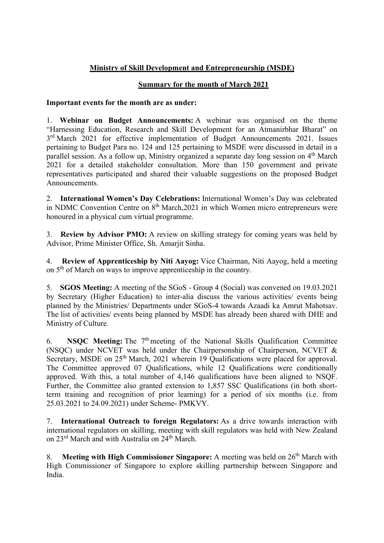## Ministry of Skill Development and Entrepreneurship (MSDE)

## Summary for the month of March 2021

## Important events for the month are as under:

1. Webinar on Budget Announcements: A webinar was organised on the theme "Harnessing Education, Research and Skill Development for an Atmanirbhar Bharat" on 3<sup>rd</sup> March 2021 for effective implementation of Budget Announcements 2021. Issues pertaining to Budget Para no. 124 and 125 pertaining to MSDE were discussed in detail in a parallel session. As a follow up, Ministry organized a separate day long session on 4<sup>th</sup> March 2021 for a detailed stakeholder consultation. More than 150 government and private representatives participated and shared their valuable suggestions on the proposed Budget Announcements.

2. International Women's Day Celebrations: International Women's Day was celebrated in NDMC Convention Centre on  $8<sup>th</sup> March,2021$  in which Women micro entrepreneurs were honoured in a physical cum virtual programme.

3. Review by Advisor PMO: A review on skilling strategy for coming years was held by Advisor, Prime Minister Office, Sh. Amarjit Sinha.

4. Review of Apprenticeship by Niti Aayog: Vice Chairman, Niti Aayog, held a meeting on 5th of March on ways to improve apprenticeship in the country.

5. SGOS Meeting: A meeting of the SGoS - Group 4 (Social) was convened on 19.03.2021 by Secretary (Higher Education) to inter-alia discuss the various activities/ events being planned by the Ministries/ Departments under SGoS-4 towards Azaadi ka Amrut Mahotsav. The list of activities/ events being planned by MSDE has already been shared with DHE and Ministry of Culture.

6. NSQC Meeting: The  $7<sup>th</sup>$  meeting of the National Skills Qualification Committee (NSQC) under NCVET was held under the Chairpersonship of Chairperson, NCVET & Secretary, MSDE on 25<sup>th</sup> March, 2021 wherein 19 Qualifications were placed for approval. The Committee approved 07 Qualifications, while 12 Qualifications were conditionally approved. With this, a total number of 4,146 qualifications have been aligned to NSQF. Further, the Committee also granted extension to 1,857 SSC Qualifications (in both shortterm training and recognition of prior learning) for a period of six months (i.e. from 25.03.2021 to 24.09.2021) under Scheme- PMKVY.

7. International Outreach to foreign Regulators: As a drive towards interaction with international regulators on skilling, meeting with skill regulators was held with New Zealand on 23<sup>rd</sup> March and with Australia on 24<sup>th</sup> March.

8. Meeting with High Commissioner Singapore: A meeting was held on 26<sup>th</sup> March with High Commissioner of Singapore to explore skilling partnership between Singapore and India.